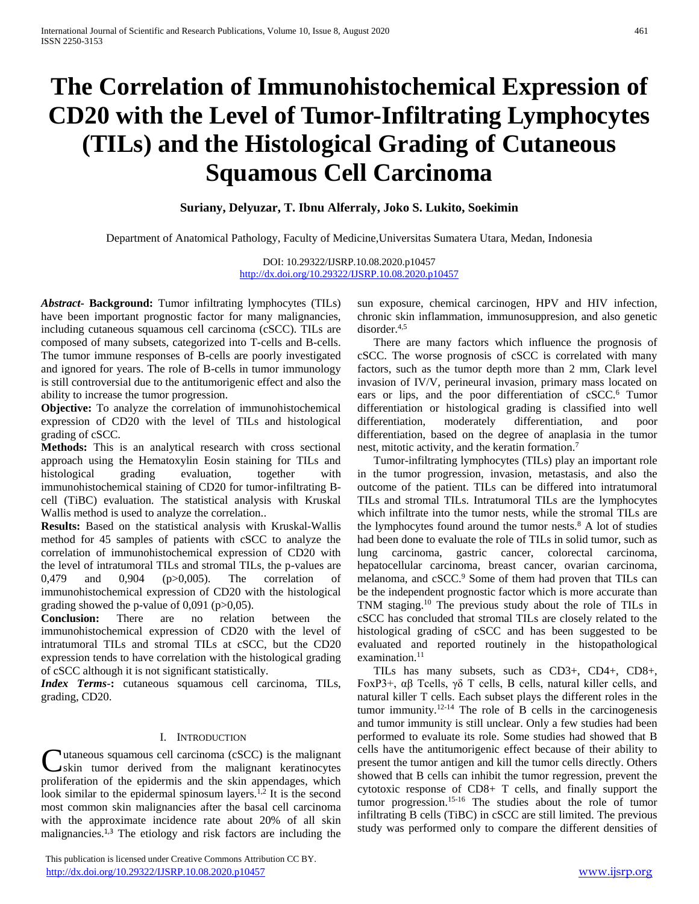# **The Correlation of Immunohistochemical Expression of CD20 with the Level of Tumor-Infiltrating Lymphocytes (TILs) and the Histological Grading of Cutaneous Squamous Cell Carcinoma**

# **Suriany, Delyuzar, T. Ibnu Alferraly, Joko S. Lukito, Soekimin**

Department of Anatomical Pathology, Faculty of Medicine,Universitas Sumatera Utara, Medan, Indonesia

DOI: 10.29322/IJSRP.10.08.2020.p10457 <http://dx.doi.org/10.29322/IJSRP.10.08.2020.p10457>

*Abstract***- Background:** Tumor infiltrating lymphocytes (TILs) have been important prognostic factor for many malignancies, including cutaneous squamous cell carcinoma (cSCC). TILs are composed of many subsets, categorized into T-cells and B-cells. The tumor immune responses of B-cells are poorly investigated and ignored for years. The role of B-cells in tumor immunology is still controversial due to the antitumorigenic effect and also the ability to increase the tumor progression.

**Objective:** To analyze the correlation of immunohistochemical expression of CD20 with the level of TILs and histological grading of cSCC.

**Methods:** This is an analytical research with cross sectional approach using the Hematoxylin Eosin staining for TILs and histological grading evaluation, together with immunohistochemical staining of CD20 for tumor-infiltrating Bcell (TiBC) evaluation. The statistical analysis with Kruskal Wallis method is used to analyze the correlation..

**Results:** Based on the statistical analysis with Kruskal-Wallis method for 45 samples of patients with cSCC to analyze the correlation of immunohistochemical expression of CD20 with the level of intratumoral TILs and stromal TILs, the p-values are 0,479 and 0,904 (p>0,005). The correlation of immunohistochemical expression of CD20 with the histological grading showed the p-value of  $0.091$  (p $>0.05$ ).

**Conclusion:** There are no relation between the immunohistochemical expression of CD20 with the level of intratumoral TILs and stromal TILs at cSCC, but the CD20 expression tends to have correlation with the histological grading of cSCC although it is not significant statistically.

*Index Terms*-**:** cutaneous squamous cell carcinoma, TILs, grading, CD20.

## I. INTRODUCTION

utaneous squamous cell carcinoma (cSCC) is the malignant **C**utaneous squamous cell carcinoma (cSCC) is the malignant<br>
skin tumor derived from the malignant keratinocytes proliferation of the epidermis and the skin appendages, which look similar to the epidermal spinosum layers.<sup>1,2</sup> It is the second most common skin malignancies after the basal cell carcinoma with the approximate incidence rate about 20% of all skin malignancies. $1,3$  The etiology and risk factors are including the

 This publication is licensed under Creative Commons Attribution CC BY. <http://dx.doi.org/10.29322/IJSRP.10.08.2020.p10457> [www.ijsrp.org](http://ijsrp.org/)

sun exposure, chemical carcinogen, HPV and HIV infection, chronic skin inflammation, immunosuppresion, and also genetic  $disorder<sup>4,5</sup>$ 

There are many factors which influence the prognosis of cSCC. The worse prognosis of cSCC is correlated with many factors, such as the tumor depth more than 2 mm, Clark level invasion of IV/V, perineural invasion, primary mass located on ears or lips, and the poor differentiation of cSCC.<sup>6</sup> Tumor differentiation or histological grading is classified into well differentiation, moderately differentiation, and poor differentiation, based on the degree of anaplasia in the tumor nest, mitotic activity, and the keratin formation.<sup>7</sup>

Tumor-infiltrating lymphocytes (TILs) play an important role in the tumor progression, invasion, metastasis, and also the outcome of the patient. TILs can be differed into intratumoral TILs and stromal TILs. Intratumoral TILs are the lymphocytes which infiltrate into the tumor nests, while the stromal TILs are the lymphocytes found around the tumor nests. $8 \text{ A}$  lot of studies had been done to evaluate the role of TILs in solid tumor, such as lung carcinoma, gastric cancer, colorectal carcinoma, hepatocellular carcinoma, breast cancer, ovarian carcinoma, melanoma, and cSCC.<sup>9</sup> Some of them had proven that TILs can be the independent prognostic factor which is more accurate than TNM staging.<sup>10</sup> The previous study about the role of TILs in cSCC has concluded that stromal TILs are closely related to the histological grading of cSCC and has been suggested to be evaluated and reported routinely in the histopathological examination.<sup>11</sup>

TILs has many subsets, such as CD3+, CD4+, CD8+, FoxP3+, αβ Tcells, γδ T cells, B cells, natural killer cells, and natural killer T cells. Each subset plays the different roles in the tumor immunity.<sup>12-14</sup> The role of  $\overrightarrow{B}$  cells in the carcinogenesis and tumor immunity is still unclear. Only a few studies had been performed to evaluate its role. Some studies had showed that B cells have the antitumorigenic effect because of their ability to present the tumor antigen and kill the tumor cells directly. Others showed that B cells can inhibit the tumor regression, prevent the cytotoxic response of CD8+ T cells, and finally support the tumor progression.15-16 The studies about the role of tumor infiltrating B cells (TiBC) in cSCC are still limited. The previous study was performed only to compare the different densities of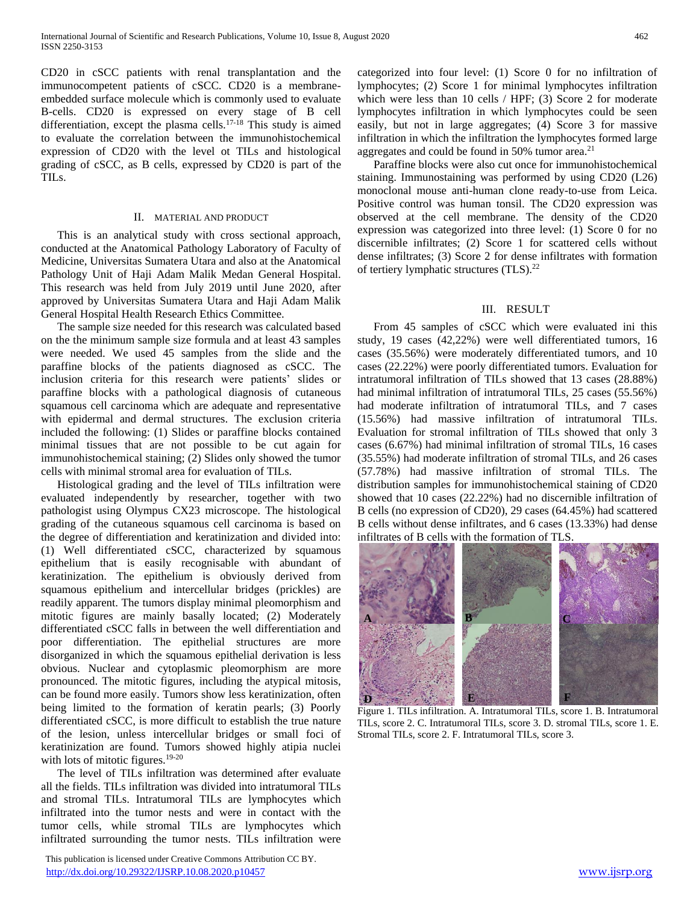CD20 in cSCC patients with renal transplantation and the immunocompetent patients of cSCC. CD20 is a membraneembedded surface molecule which is commonly used to evaluate B-cells. CD20 is expressed on every stage of B cell differentiation, except the plasma cells.17-18 This study is aimed to evaluate the correlation between the immunohistochemical expression of CD20 with the level ot TILs and histological grading of cSCC, as B cells, expressed by CD20 is part of the TILs.

## II. MATERIAL AND PRODUCT

This is an analytical study with cross sectional approach, conducted at the Anatomical Pathology Laboratory of Faculty of Medicine, Universitas Sumatera Utara and also at the Anatomical Pathology Unit of Haji Adam Malik Medan General Hospital. This research was held from July 2019 until June 2020, after approved by Universitas Sumatera Utara and Haji Adam Malik General Hospital Health Research Ethics Committee.

The sample size needed for this research was calculated based on the the minimum sample size formula and at least 43 samples were needed. We used 45 samples from the slide and the paraffine blocks of the patients diagnosed as cSCC. The inclusion criteria for this research were patients' slides or paraffine blocks with a pathological diagnosis of cutaneous squamous cell carcinoma which are adequate and representative with epidermal and dermal structures. The exclusion criteria included the following: (1) Slides or paraffine blocks contained minimal tissues that are not possible to be cut again for immunohistochemical staining; (2) Slides only showed the tumor cells with minimal stromal area for evaluation of TILs.

Histological grading and the level of TILs infiltration were evaluated independently by researcher, together with two pathologist using Olympus CX23 microscope. The histological grading of the cutaneous squamous cell carcinoma is based on the degree of differentiation and keratinization and divided into: (1) Well differentiated cSCC, characterized by squamous epithelium that is easily recognisable with abundant of keratinization. The epithelium is obviously derived from squamous epithelium and intercellular bridges (prickles) are readily apparent. The tumors display minimal pleomorphism and mitotic figures are mainly basally located; (2) Moderately differentiated cSCC falls in between the well differentiation and poor differentiation. The epithelial structures are more disorganized in which the squamous epithelial derivation is less obvious. Nuclear and cytoplasmic pleomorphism are more pronounced. The mitotic figures, including the atypical mitosis, can be found more easily. Tumors show less keratinization, often being limited to the formation of keratin pearls; (3) Poorly differentiated cSCC, is more difficult to establish the true nature of the lesion, unless intercellular bridges or small foci of keratinization are found. Tumors showed highly atipia nuclei with lots of mitotic figures.<sup>19-20</sup>

The level of TILs infiltration was determined after evaluate all the fields. TILs infiltration was divided into intratumoral TILs and stromal TILs. Intratumoral TILs are lymphocytes which infiltrated into the tumor nests and were in contact with the tumor cells, while stromal TILs are lymphocytes which infiltrated surrounding the tumor nests. TILs infiltration were

 This publication is licensed under Creative Commons Attribution CC BY. <http://dx.doi.org/10.29322/IJSRP.10.08.2020.p10457> [www.ijsrp.org](http://ijsrp.org/)

categorized into four level: (1) Score 0 for no infiltration of lymphocytes; (2) Score 1 for minimal lymphocytes infiltration which were less than 10 cells / HPF; (3) Score 2 for moderate lymphocytes infiltration in which lymphocytes could be seen easily, but not in large aggregates; (4) Score 3 for massive infiltration in which the infiltration the lymphocytes formed large aggregates and could be found in 50% tumor area.<sup>21</sup>

Paraffine blocks were also cut once for immunohistochemical staining. Immunostaining was performed by using CD20 (L26) monoclonal mouse anti-human clone ready-to-use from Leica. Positive control was human tonsil. The CD20 expression was observed at the cell membrane. The density of the CD20 expression was categorized into three level: (1) Score 0 for no discernible infiltrates; (2) Score 1 for scattered cells without dense infiltrates; (3) Score 2 for dense infiltrates with formation of tertiery lymphatic structures (TLS).<sup>22</sup>

## III. RESULT

From 45 samples of cSCC which were evaluated ini this study, 19 cases (42,22%) were well differentiated tumors, 16 cases (35.56%) were moderately differentiated tumors, and 10 cases (22.22%) were poorly differentiated tumors. Evaluation for intratumoral infiltration of TILs showed that 13 cases (28.88%) had minimal infiltration of intratumoral TILs, 25 cases (55.56%) had moderate infiltration of intratumoral TILs, and 7 cases (15.56%) had massive infiltration of intratumoral TILs. Evaluation for stromal infiltration of TILs showed that only 3 cases (6.67%) had minimal infiltration of stromal TILs, 16 cases (35.55%) had moderate infiltration of stromal TILs, and 26 cases (57.78%) had massive infiltration of stromal TILs. The distribution samples for immunohistochemical staining of CD20 showed that 10 cases (22.22%) had no discernible infiltration of B cells (no expression of CD20), 29 cases (64.45%) had scattered B cells without dense infiltrates, and 6 cases (13.33%) had dense infiltrates of B cells with the formation of TLS.



Figure 1. TILs infiltration. A. Intratumoral TILs, score 1. B. Intratumoral TILs, score 2. C. Intratumoral TILs, score 3. D. stromal TILs, score 1. E. Stromal TILs, score 2. F. Intratumoral TILs, score 3.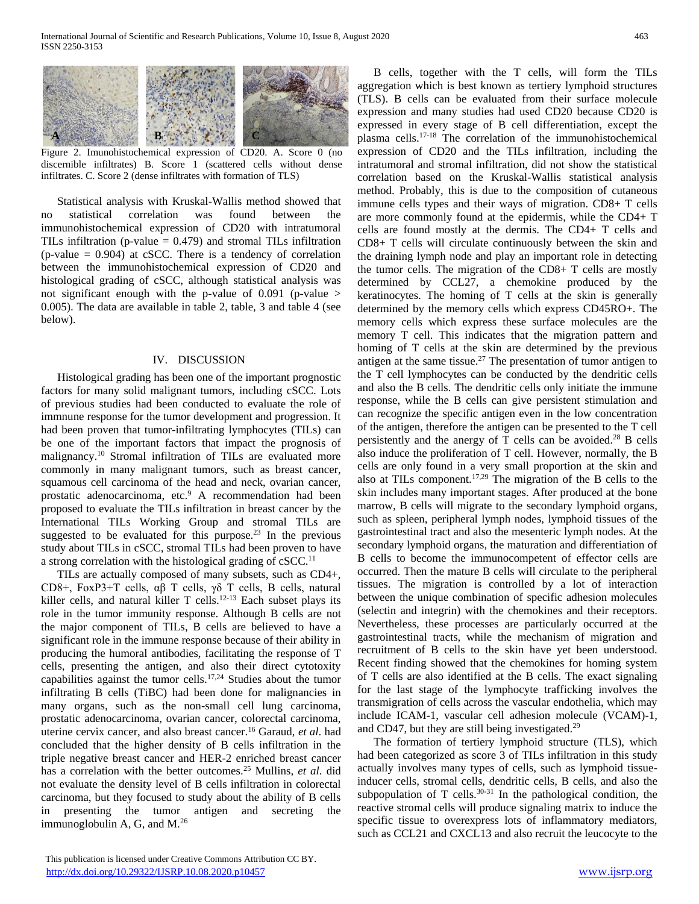

Figure 2. Imunohistochemical expression of CD20. A. Score 0 (no discernible infiltrates) B. Score 1 (scattered cells without dense infiltrates. C. Score 2 (dense infiltrates with formation of TLS)

Statistical analysis with Kruskal-Wallis method showed that no statistical correlation was found between the immunohistochemical expression of CD20 with intratumoral TILs infiltration (p-value  $= 0.479$ ) and stromal TILs infiltration  $(p-value = 0.904)$  at cSCC. There is a tendency of correlation between the immunohistochemical expression of CD20 and histological grading of cSCC, although statistical analysis was not significant enough with the p-value of  $0.091$  (p-value  $>$ 0.005). The data are available in table 2, table, 3 and table 4 (see below).

## IV. DISCUSSION

Histological grading has been one of the important prognostic factors for many solid malignant tumors, including cSCC. Lots of previous studies had been conducted to evaluate the role of immnune response for the tumor development and progression. It had been proven that tumor-infiltrating lymphocytes (TILs) can be one of the important factors that impact the prognosis of malignancy.<sup>10</sup> Stromal infiltration of TILs are evaluated more commonly in many malignant tumors, such as breast cancer, squamous cell carcinoma of the head and neck, ovarian cancer, prostatic adenocarcinoma, etc.<sup>9</sup> A recommendation had been proposed to evaluate the TILs infiltration in breast cancer by the International TILs Working Group and stromal TILs are suggested to be evaluated for this purpose.<sup>23</sup> In the previous study about TILs in cSCC, stromal TILs had been proven to have a strong correlation with the histological grading of  $cSCC<sup>11</sup>$ .

TILs are actually composed of many subsets, such as CD4+, CD8+, FoxP3+T cells, αβ T cells, γδ T cells, B cells, natural killer cells, and natural killer  $T$  cells.<sup>12-13</sup> Each subset plays its role in the tumor immunity response. Although B cells are not the major component of TILs, B cells are believed to have a significant role in the immune response because of their ability in producing the humoral antibodies, facilitating the response of T cells, presenting the antigen, and also their direct cytotoxity capabilities against the tumor cells.17,24 Studies about the tumor infiltrating B cells (TiBC) had been done for malignancies in many organs, such as the non-small cell lung carcinoma, prostatic adenocarcinoma, ovarian cancer, colorectal carcinoma, uterine cervix cancer, and also breast cancer.<sup>16</sup> Garaud, *et al*. had concluded that the higher density of B cells infiltration in the triple negative breast cancer and HER-2 enriched breast cancer has a correlation with the better outcomes.<sup>25</sup> Mullins, *et al*. did not evaluate the density level of B cells infiltration in colorectal carcinoma, but they focused to study about the ability of B cells in presenting the tumor antigen and secreting the immunoglobulin A, G, and M.<sup>26</sup>

B cells, together with the T cells, will form the TILs aggregation which is best known as tertiery lymphoid structures (TLS). B cells can be evaluated from their surface molecule expression and many studies had used CD20 because CD20 is expressed in every stage of B cell differentiation, except the plasma cells.17-18 The correlation of the immunohistochemical expression of CD20 and the TILs infiltration, including the intratumoral and stromal infiltration, did not show the statistical correlation based on the Kruskal-Wallis statistical analysis method. Probably, this is due to the composition of cutaneous immune cells types and their ways of migration. CD8+ T cells are more commonly found at the epidermis, while the CD4+ T cells are found mostly at the dermis. The CD4+ T cells and CD8+ T cells will circulate continuously between the skin and the draining lymph node and play an important role in detecting the tumor cells. The migration of the CD8+ T cells are mostly determined by CCL27, a chemokine produced by the keratinocytes. The homing of T cells at the skin is generally determined by the memory cells which express CD45RO+. The memory cells which express these surface molecules are the memory T cell. This indicates that the migration pattern and homing of T cells at the skin are determined by the previous antigen at the same tissue.<sup>27</sup> The presentation of tumor antigen to the T cell lymphocytes can be conducted by the dendritic cells and also the B cells. The dendritic cells only initiate the immune response, while the B cells can give persistent stimulation and can recognize the specific antigen even in the low concentration of the antigen, therefore the antigen can be presented to the T cell persistently and the anergy of  $T$  cells can be avoided.<sup>28</sup> B cells also induce the proliferation of T cell. However, normally, the B cells are only found in a very small proportion at the skin and also at TILs component.<sup>17,29</sup> The migration of the B cells to the skin includes many important stages. After produced at the bone marrow, B cells will migrate to the secondary lymphoid organs, such as spleen, peripheral lymph nodes, lymphoid tissues of the gastrointestinal tract and also the mesenteric lymph nodes. At the secondary lymphoid organs, the maturation and differentiation of B cells to become the immunocompetent of effector cells are occurred. Then the mature B cells will circulate to the peripheral tissues. The migration is controlled by a lot of interaction between the unique combination of specific adhesion molecules (selectin and integrin) with the chemokines and their receptors. Nevertheless, these processes are particularly occurred at the gastrointestinal tracts, while the mechanism of migration and recruitment of B cells to the skin have yet been understood. Recent finding showed that the chemokines for homing system of T cells are also identified at the B cells. The exact signaling for the last stage of the lymphocyte trafficking involves the transmigration of cells across the vascular endothelia, which may include ICAM-1, vascular cell adhesion molecule (VCAM)-1, and CD47, but they are still being investigated.<sup>29</sup>

The formation of tertiery lymphoid structure (TLS), which had been categorized as score 3 of TILs infiltration in this study actually involves many types of cells, such as lymphoid tissueinducer cells, stromal cells, dendritic cells, B cells, and also the subpopulation of T cells. $30-31$  In the pathological condition, the reactive stromal cells will produce signaling matrix to induce the specific tissue to overexpress lots of inflammatory mediators, such as CCL21 and CXCL13 and also recruit the leucocyte to the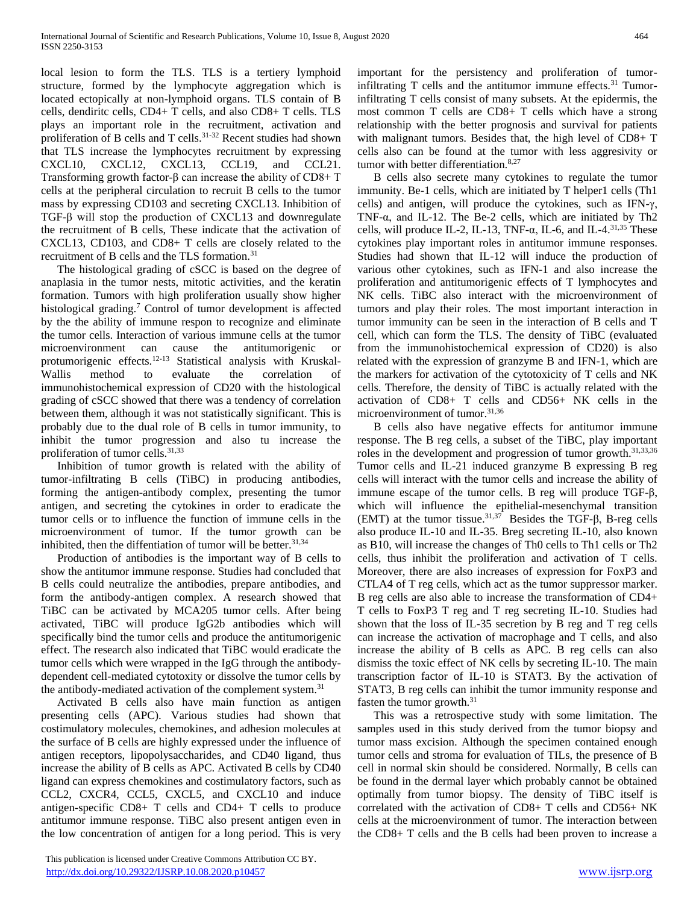local lesion to form the TLS. TLS is a tertiery lymphoid structure, formed by the lymphocyte aggregation which is located ectopically at non-lymphoid organs. TLS contain of B cells, dendiritc cells, CD4+ T cells, and also CD8+ T cells. TLS plays an important role in the recruitment, activation and proliferation of B cells and T cells.31-32 Recent studies had shown that TLS increase the lymphocytes recruitment by expressing CXCL10, CXCL12, CXCL13, CCL19, and CCL21. Transforming growth factor-β can increase the ability of CD8+ T cells at the peripheral circulation to recruit B cells to the tumor mass by expressing CD103 and secreting CXCL13. Inhibition of TGF-β will stop the production of CXCL13 and downregulate the recruitment of B cells, These indicate that the activation of CXCL13, CD103, and CD8+ T cells are closely related to the recruitment of B cells and the TLS formation.<sup>31</sup>

The histological grading of cSCC is based on the degree of anaplasia in the tumor nests, mitotic activities, and the keratin formation. Tumors with high proliferation usually show higher histological grading.<sup>7</sup> Control of tumor development is affected by the the ability of immune respon to recognize and eliminate the tumor cells. Interaction of various immune cells at the tumor microenvironment can cause the antitumorigenic or protumorigenic effects.12-13 Statistical analysis with Kruskal-Wallis method to evaluate the correlation of immunohistochemical expression of CD20 with the histological grading of cSCC showed that there was a tendency of correlation between them, although it was not statistically significant. This is probably due to the dual role of B cells in tumor immunity, to inhibit the tumor progression and also tu increase the proliferation of tumor cells.<sup>31,33</sup>

Inhibition of tumor growth is related with the ability of tumor-infiltrating B cells (TiBC) in producing antibodies, forming the antigen-antibody complex, presenting the tumor antigen, and secreting the cytokines in order to eradicate the tumor cells or to influence the function of immune cells in the microenvironment of tumor. If the tumor growth can be inhibited, then the diffentiation of tumor will be better. $31,34$ 

Production of antibodies is the important way of B cells to show the antitumor immune response. Studies had concluded that B cells could neutralize the antibodies, prepare antibodies, and form the antibody-antigen complex. A research showed that TiBC can be activated by MCA205 tumor cells. After being activated, TiBC will produce IgG2b antibodies which will specifically bind the tumor cells and produce the antitumorigenic effect. The research also indicated that TiBC would eradicate the tumor cells which were wrapped in the IgG through the antibodydependent cell-mediated cytotoxity or dissolve the tumor cells by the antibody-mediated activation of the complement system.<sup>31</sup>

Activated B cells also have main function as antigen presenting cells (APC). Various studies had shown that costimulatory molecules, chemokines, and adhesion molecules at the surface of B cells are highly expressed under the influence of antigen receptors, lipopolysaccharides, and CD40 ligand, thus increase the ability of B cells as APC. Activated B cells by CD40 ligand can express chemokines and costimulatory factors, such as CCL2, CXCR4, CCL5, CXCL5, and CXCL10 and induce antigen-specific CD8+ T cells and CD4+ T cells to produce antitumor immune response. TiBC also present antigen even in the low concentration of antigen for a long period. This is very

 This publication is licensed under Creative Commons Attribution CC BY. <http://dx.doi.org/10.29322/IJSRP.10.08.2020.p10457> [www.ijsrp.org](http://ijsrp.org/)

important for the persistency and proliferation of tumorinfiltrating  $T$  cells and the antitumor immune effects.<sup>31</sup> Tumorinfiltrating T cells consist of many subsets. At the epidermis, the most common T cells are CD8+ T cells which have a strong relationship with the better prognosis and survival for patients with malignant tumors. Besides that, the high level of CD8+ T cells also can be found at the tumor with less aggresivity or tumor with better differentiation.<sup>8,27</sup>

B cells also secrete many cytokines to regulate the tumor immunity. Be-1 cells, which are initiated by T helper1 cells (Th1 cells) and antigen, will produce the cytokines, such as IFN-γ, TNF-α, and IL-12. The Be-2 cells, which are initiated by Th2 cells, will produce IL-2, IL-13, TNF- $\alpha$ , IL-6, and IL-4.<sup>31,35</sup> These cytokines play important roles in antitumor immune responses. Studies had shown that IL-12 will induce the production of various other cytokines, such as IFN-1 and also increase the proliferation and antitumorigenic effects of T lymphocytes and NK cells. TiBC also interact with the microenvironment of tumors and play their roles. The most important interaction in tumor immunity can be seen in the interaction of B cells and T cell, which can form the TLS. The density of TiBC (evaluated from the immunohistochemical expression of CD20) is also related with the expression of granzyme B and IFN-1, which are the markers for activation of the cytotoxicity of T cells and NK cells. Therefore, the density of TiBC is actually related with the activation of CD8+ T cells and CD56+ NK cells in the microenvironment of tumor.31,36

B cells also have negative effects for antitumor immune response. The B reg cells, a subset of the TiBC, play important roles in the development and progression of tumor growth.<sup>31,33,36</sup> Tumor cells and IL-21 induced granzyme B expressing B reg cells will interact with the tumor cells and increase the ability of immune escape of the tumor cells. B reg will produce TGF-β, which will influence the epithelial-mesenchymal transition (EMT) at the tumor tissue.<sup>31,37</sup> Besides the TGF- $\beta$ , B-reg cells also produce IL-10 and IL-35. Breg secreting IL-10, also known as B10, will increase the changes of Th0 cells to Th1 cells or Th2 cells, thus inhibit the proliferation and activation of T cells. Moreover, there are also increases of expression for FoxP3 and CTLA4 of T reg cells, which act as the tumor suppressor marker. B reg cells are also able to increase the transformation of CD4+ T cells to FoxP3 T reg and T reg secreting IL-10. Studies had shown that the loss of IL-35 secretion by B reg and T reg cells can increase the activation of macrophage and T cells, and also increase the ability of B cells as APC. B reg cells can also dismiss the toxic effect of NK cells by secreting IL-10. The main transcription factor of IL-10 is STAT3. By the activation of STAT3, B reg cells can inhibit the tumor immunity response and fasten the tumor growth.<sup>31</sup>

This was a retrospective study with some limitation. The samples used in this study derived from the tumor biopsy and tumor mass excision. Although the specimen contained enough tumor cells and stroma for evaluation of TILs, the presence of B cell in normal skin should be considered. Normally, B cells can be found in the dermal layer which probably cannot be obtained optimally from tumor biopsy. The density of TiBC itself is correlated with the activation of CD8+ T cells and CD56+ NK cells at the microenvironment of tumor. The interaction between the CD8+ T cells and the B cells had been proven to increase a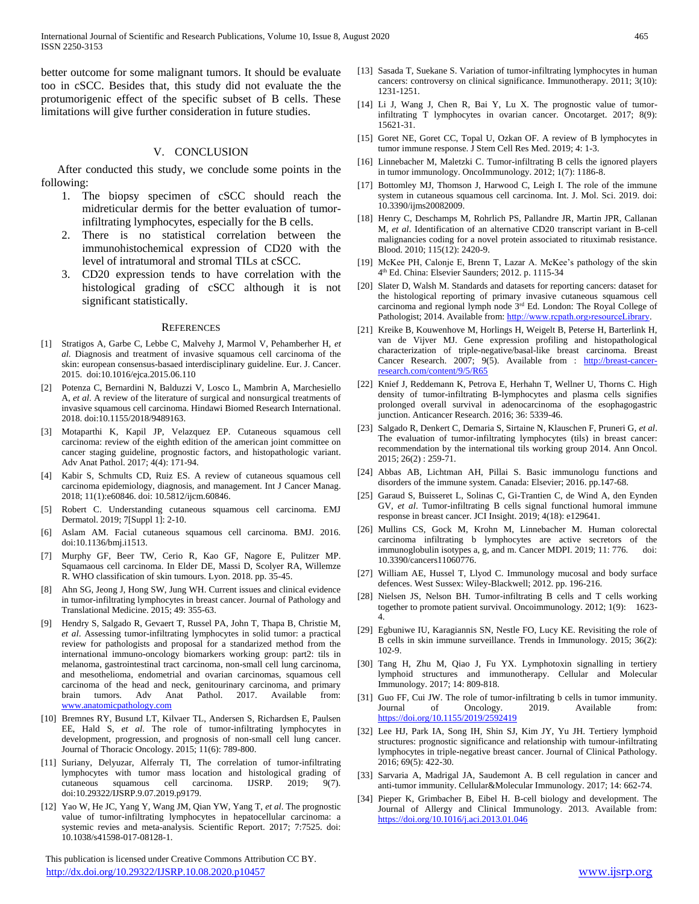better outcome for some malignant tumors. It should be evaluate too in cSCC. Besides that, this study did not evaluate the the protumorigenic effect of the specific subset of B cells. These limitations will give further consideration in future studies.

## V. CONCLUSION

After conducted this study, we conclude some points in the following:

- 1. The biopsy specimen of cSCC should reach the midreticular dermis for the better evaluation of tumorinfiltrating lymphocytes, especially for the B cells.
- 2. There is no statistical correlation between the immunohistochemical expression of CD20 with the level of intratumoral and stromal TILs at cSCC.
- 3. CD20 expression tends to have correlation with the histological grading of cSCC although it is not significant statistically.

#### **REFERENCES**

- [1] Stratigos A, Garbe C, Lebbe C, Malvehy J, Marmol V, Pehamberher H, *et al.* Diagnosis and treatment of invasive squamous cell carcinoma of the skin: european consensus-basaed interdisciplinary guideline. Eur. J. Cancer. 2015. doi:10.1016/ejca.2015.06.110
- [2] Potenza C, Bernardini N, Balduzzi V, Losco L, Mambrin A, Marchesiello A, *et al*. A review of the literature of surgical and nonsurgical treatments of invasive squamous cell carcinoma. Hindawi Biomed Research International. 2018. doi:10.1155/2018/9489163.
- [3] Motaparthi K, Kapil JP, Velazquez EP. Cutaneous squamous cell carcinoma: review of the eighth edition of the american joint committee on cancer staging guideline, prognostic factors, and histopathologic variant. Adv Anat Pathol. 2017; 4(4): 171-94.
- [4] Kabir S, Schmults CD, Ruiz ES. A review of cutaneous squamous cell carcinoma epidemiology, diagnosis, and management. Int J Cancer Manag. 2018; 11(1):e60846. doi: 10.5812/ijcm.60846.
- [5] Robert C. Understanding cutaneous squamous cell carcinoma. EMJ Dermatol. 2019; 7[Suppl 1]: 2-10.
- [6] Aslam AM. Facial cutaneous squamous cell carcinoma. BMJ. 2016. doi:10.1136/bmj.i1513.
- [7] Murphy GF, Beer TW, Cerio R, Kao GF, Nagore E, Pulitzer MP. Squamaous cell carcinoma. In Elder DE, Massi D, Scolyer RA, Willemze R. WHO classification of skin tumours. Lyon. 2018. pp. 35-45.
- Ahn SG, Jeong J, Hong SW, Jung WH. Current issues and clinical evidence in tumor-infiltrating lymphocytes in breast cancer. Journal of Pathology and Translational Medicine. 2015; 49: 355-63.
- [9] Hendry S, Salgado R, Gevaert T, Russel PA, John T, Thapa B, Christie M, *et al*. Assessing tumor-infiltrating lymphocytes in solid tumor: a practical review for pathologists and proposal for a standarized method from the international immuno-oncology biomarkers working group: part2: tils in melanoma, gastrointestinal tract carcinoma, non-small cell lung carcinoma, and mesothelioma, endometrial and ovarian carcinomas, squamous cell carcinoma of the head and neck, genitourinary carcinoma, and primary brain tumors. Adv Anat Pathol. 2017. Available from: [www.anatomicpathology.com](http://www.anatomicpathology.com/)
- [10] Bremnes RY, Busund LT, Kilvaer TL, Andersen S, Richardsen E, Paulsen EE, Hald S, *et al*. The role of tumor-infiltrating lymphocytes in development, progression, and prognosis of non-small cell lung cancer. Journal of Thoracic Oncology. 2015; 11(6): 789-800.
- [11] Suriany, Delyuzar, Alferraly TI, The correlation of tumor-infiltrating lymphocytes with tumor mass location and histological grading of cutaneous squamous cell carcinoma. IJSRP. 2019; 9(7). cutaneous squamous cell carcinoma. IJSRP. 2019; doi:10.29322/IJSRP.9.07.2019.p9179.
- [12] Yao W, He JC, Yang Y, Wang JM, Qian YW, Yang T, *et al*. The prognostic value of tumor-infiltrating lymphocytes in hepatocellular carcinoma: a systemic revies and meta-analysis. Scientific Report. 2017; 7:7525. doi: 10.1038/s41598-017-08128-1.

 This publication is licensed under Creative Commons Attribution CC BY. <http://dx.doi.org/10.29322/IJSRP.10.08.2020.p10457> [www.ijsrp.org](http://ijsrp.org/)

- [13] Sasada T, Suekane S. Variation of tumor-infiltrating lymphocytes in human cancers: controversy on clinical significance. Immunotherapy. 2011; 3(10): 1231-1251.
- [14] Li J, Wang J, Chen R, Bai Y, Lu X. The prognostic value of tumorinfiltrating T lymphocytes in ovarian cancer. Oncotarget. 2017; 8(9): 15621-31.
- [15] Goret NE, Goret CC, Topal U, Ozkan OF. A review of B lymphocytes in tumor immune response. J Stem Cell Res Med. 2019; 4: 1-3.
- [16] Linnebacher M, Maletzki C. Tumor-infiltrating B cells the ignored players in tumor immunology. OncoImmunology. 2012; 1(7): 1186-8.
- [17] Bottomley MJ, Thomson J, Harwood C, Leigh I. The role of the immune system in cutaneous squamous cell carcinoma. Int. J. Mol. Sci. 2019. doi: 10.3390/ijms20082009.
- [18] Henry C, Deschamps M, Rohrlich PS, Pallandre JR, Martin JPR, Callanan M, *et al*. Identification of an alternative CD20 transcript variant in B-cell malignancies coding for a novel protein associated to rituximab resistance. Blood. 2010; 115(12): 2420-9.
- [19] McKee PH, Calonje E, Brenn T, Lazar A. McKee's pathology of the skin 4 th Ed. China: Elsevier Saunders; 2012. p. 1115-34
- [20] Slater D, Walsh M. Standards and datasets for reporting cancers: dataset for the histological reporting of primary invasive cutaneous squamous cell carcinoma and regional lymph node 3rd Ed. London: The Royal College of Pathologist; 2014. Available from: http://www.rcpath.orgyresourceLibrary.
- [21] Kreike B, Kouwenhove M, Horlings H, Weigelt B, Peterse H, Barterlink H, van de Vijver MJ. Gene expression profiling and histopathological characterization of triple-negative/basal-like breast carcinoma. Breast Cancer Research. 2007; 9(5). Available from : [http://breast-cancer](http://breast-cancer-research.com/content/9/5/R65)[research.com/content/9/5/R65](http://breast-cancer-research.com/content/9/5/R65)
- [22] Knief J, Reddemann K, Petrova E, Herhahn T, Wellner U, Thorns C. High density of tumor-infiltrating B-lymphocytes and plasma cells signifies prolonged overall survival in adenocarcinoma of the esophagogastric junction. Anticancer Research. 2016; 36: 5339-46.
- [23] Salgado R, Denkert C, Demaria S, Sirtaine N, Klauschen F, Pruneri G, *et al*. The evaluation of tumor-infiltrating lymphocytes (tils) in breast cancer: recommendation by the international tils working group 2014. Ann Oncol. 2015; 26(2) : 259-71.
- [24] Abbas AB, Lichtman AH, Pillai S. Basic immunologu functions and disorders of the immune system. Canada: Elsevier; 2016. pp.147-68.
- [25] Garaud S, Buisseret L, Solinas C, Gi-Trantien C, de Wind A, den Eynden GV, *et al*. Tumor-infiltrating B cells signal functional humoral immune response in breast cancer. JCI Insight. 2019; 4(18): e129641.
- [26] Mullins CS, Gock M, Krohn M, Linnebacher M. Human colorectal carcinoma infiltrating b lymphocytes are active secretors of the immunoglobulin isotypes a, g, and m. Cancer MDPI. 2019; 11: 776. doi: 10.3390/cancers11060776.
- [27] William AE, Hussel T, Llyod C. Immunology mucosal and body surface defences. West Sussex: Wiley-Blackwell; 2012. pp. 196-216.
- [28] Nielsen JS, Nelson BH. Tumor-infiltrating B cells and T cells working together to promote patient survival. Oncoimmunology. 2012; 1(9): 1623- 4.
- [29] Egbuniwe IU, Karagiannis SN, Nestle FO, Lucy KE. Revisiting the role of B cells in skin immune surveillance. Trends in Immunology. 2015; 36(2): 102-9.
- [30] Tang H, Zhu M, Qiao J, Fu YX. Lymphotoxin signalling in tertiery lymphoid structures and immunotherapy. Cellular and Molecular Immunology. 2017; 14: 809-818.
- [31] Guo FF, Cui JW. The role of tumor-infiltrating b cells in tumor immunity. Journal of Oncology. 2019. Available from: <https://doi.org/10.1155/2019/2592419>
- [32] Lee HJ, Park IA, Song IH, Shin SJ, Kim JY, Yu JH. Tertiery lymphoid structures: prognostic significance and relationship with tumour-infiltrating lymphocytes in triple-negative breast cancer. Journal of Clinical Pathology. 2016; 69(5): 422-30.
- [33] Sarvaria A, Madrigal JA, Saudemont A. B cell regulation in cancer and anti-tumor immunity. Cellular&Molecular Immunology. 2017; 14: 662-74.
- [34] Pieper K, Grimbacher B, Eibel H. B-cell biology and development. The Journal of Allergy and Clinical Immunology. 2013. Available from: <https://doi.org/10.1016/j.aci.2013.01.046>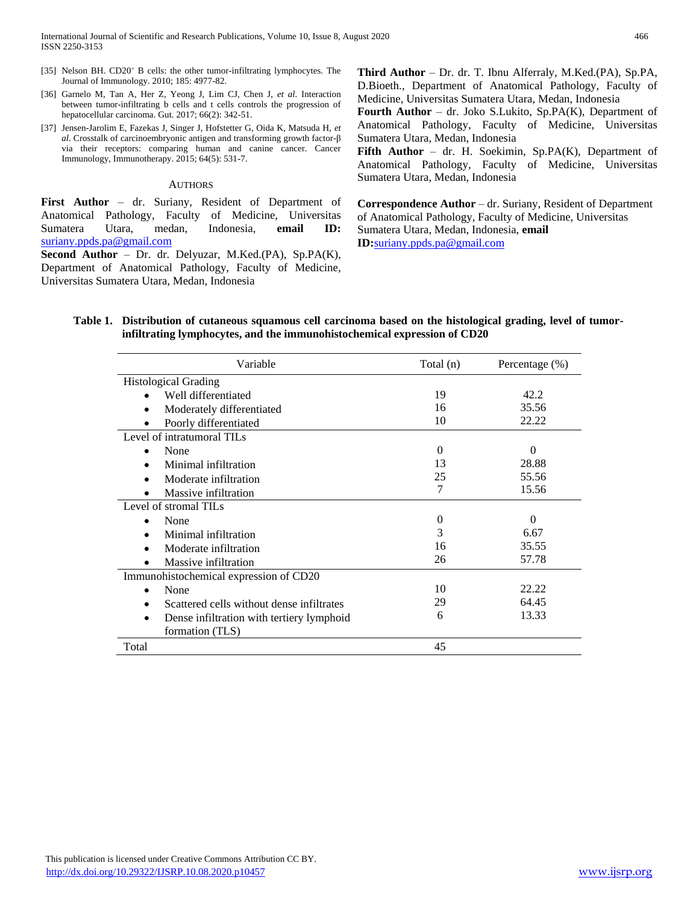- [35] Nelson BH. CD20<sup>+</sup> B cells: the other tumor-infiltrating lymphocytes. The Journal of Immunology. 2010; 185: 4977-82.
- [36] Garnelo M, Tan A, Her Z, Yeong J, Lim CJ, Chen J, *et al*. Interaction between tumor-infiltrating b cells and t cells controls the progression of hepatocellular carcinoma. Gut. 2017; 66(2): 342-51.
- [37] Jensen-Jarolim E, Fazekas J, Singer J, Hofstetter G, Oida K, Matsuda H, *et al*. Crosstalk of carcinoembryonic antigen and transforming growth factor-β via their receptors: comparing human and canine cancer. Cancer Immunology, Immunotherapy. 2015; 64(5): 531-7.

#### AUTHORS

**First Author** – dr. Suriany, Resident of Department of Anatomical Pathology, Faculty of Medicine, Universitas Sumatera Utara, medan, Indonesia, **email ID:**  [suriany.ppds.pa@gmail.com](mailto:suriany.ppds.pa@gmail.com)

**Second Author** – Dr. dr. Delyuzar, M.Ked.(PA), Sp.PA(K), Department of Anatomical Pathology, Faculty of Medicine, Universitas Sumatera Utara, Medan, Indonesia

**Third Author** – Dr. dr. T. Ibnu Alferraly, M.Ked.(PA), Sp.PA, D.Bioeth., Department of Anatomical Pathology, Faculty of Medicine, Universitas Sumatera Utara, Medan, Indonesia

**Fourth Author** – dr. Joko S.Lukito, Sp.PA(K), Department of Anatomical Pathology, Faculty of Medicine, Universitas Sumatera Utara, Medan, Indonesia

**Fifth Author** – dr. H. Soekimin, Sp.PA(K), Department of Anatomical Pathology, Faculty of Medicine, Universitas Sumatera Utara, Medan, Indonesia

**Correspondence Author** – dr. Suriany, Resident of Department of Anatomical Pathology, Faculty of Medicine, Universitas Sumatera Utara, Medan, Indonesia, **email ID:**[suriany.ppds.pa@gmail.com](mailto:suriany.ppds.pa@gmail.com)

## **Table 1. Distribution of cutaneous squamous cell carcinoma based on the histological grading, level of tumorinfiltrating lymphocytes, and the immunohistochemical expression of CD20**

| Variable                                  | Total (n) | Percentage $(\%)$ |
|-------------------------------------------|-----------|-------------------|
| <b>Histological Grading</b>               |           |                   |
| Well differentiated                       | 19        | 42.2              |
| Moderately differentiated                 | 16        | 35.56             |
| Poorly differentiated                     | 10        | 22.22             |
| Level of intratumoral TILs                |           |                   |
| None<br>$\bullet$                         | $\Omega$  | $\Omega$          |
| Minimal infiltration                      | 13        | 28.88             |
| Moderate infiltration                     | 25        | 55.56             |
| Massive infiltration                      | 7         | 15.56             |
| Level of stromal TILs                     |           |                   |
| None                                      | $\Omega$  | $\Omega$          |
| Minimal infiltration                      | 3         | 6.67              |
| Moderate infiltration                     | 16        | 35.55             |
| Massive infiltration                      | 26        | 57.78             |
| Immunohistochemical expression of CD20    |           |                   |
| None<br>$\bullet$                         | 10        | 22.22             |
| Scattered cells without dense infiltrates | 29        | 64.45             |
| Dense infiltration with tertiery lymphoid | 6         | 13.33             |
| formation (TLS)                           |           |                   |
| Total                                     | 45        |                   |